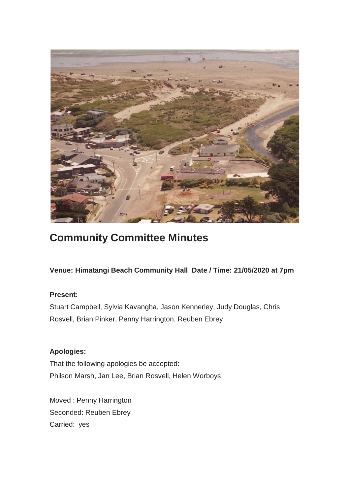

# **Community Committee Minutes**

**Venue: Himatangi Beach Community Hall Date / Time: 21/05/2020 at 7pm**

# **Present:**

Stuart Campbell, Sylvia Kavangha, Jason Kennerley, Judy Douglas, Chris Rosvell, Brian Pinker, Penny Harrington, Reuben Ebrey

# **Apologies:**

That the following apologies be accepted: Philson Marsh, Jan Lee, Brian Rosvell, Helen Worboys

Moved : Penny Harrington Seconded: Reuben Ebrey Carried: yes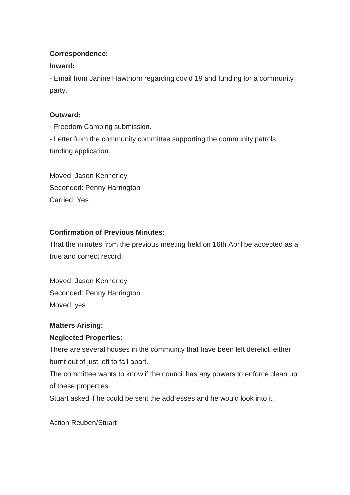## **Correspondence:**

## **Inward:**

- Email from Janine Hawthorn regarding covid 19 and funding for a community party.

# **Outward:**

- Freedom Camping submission.

- Letter from the community committee supporting the community patrols funding application.

Moved: Jason Kennerley Seconded: Penny Harrington Carried: Yes

# **Confirmation of Previous Minutes:**

That the minutes from the previous meeting held on 16th April be accepted as a true and correct record.

Moved: Jason Kennerley Seconded: Penny Harrington Moved: yes

# **Matters Arising:**

# **Neglected Properties:**

There are several houses in the community that have been left derelict, either burnt out of just left to fall apart.

The committee wants to know if the council has any powers to enforce clean up of these properties.

Stuart asked if he could be sent the addresses and he would look into it.

Action Reuben/Stuart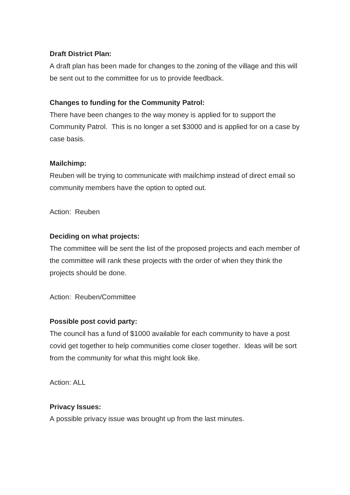## **Draft District Plan:**

A draft plan has been made for changes to the zoning of the village and this will be sent out to the committee for us to provide feedback.

## **Changes to funding for the Community Patrol:**

There have been changes to the way money is applied for to support the Community Patrol. This is no longer a set \$3000 and is applied for on a case by case basis.

## **Mailchimp:**

Reuben will be trying to communicate with mailchimp instead of direct email so community members have the option to opted out.

Action: Reuben

## **Deciding on what projects:**

The committee will be sent the list of the proposed projects and each member of the committee will rank these projects with the order of when they think the projects should be done.

Action: Reuben/Committee

## **Possible post covid party:**

The council has a fund of \$1000 available for each community to have a post covid get together to help communities come closer together. Ideas will be sort from the community for what this might look like.

Action: ALL

## **Privacy Issues:**

A possible privacy issue was brought up from the last minutes.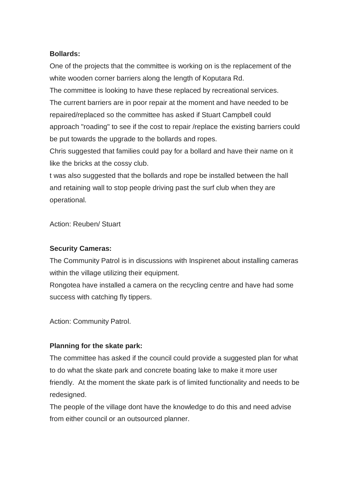#### **Bollards:**

One of the projects that the committee is working on is the replacement of the white wooden corner barriers along the length of Koputara Rd.

The committee is looking to have these replaced by recreational services. The current barriers are in poor repair at the moment and have needed to be repaired/replaced so the committee has asked if Stuart Campbell could approach "roading" to see if the cost to repair /replace the existing barriers could be put towards the upgrade to the bollards and ropes.

Chris suggested that families could pay for a bollard and have their name on it like the bricks at the cossy club.

t was also suggested that the bollards and rope be installed between the hall and retaining wall to stop people driving past the surf club when they are operational.

Action: Reuben/ Stuart

#### **Security Cameras:**

The Community Patrol is in discussions with Inspirenet about installing cameras within the village utilizing their equipment.

Rongotea have installed a camera on the recycling centre and have had some success with catching fly tippers.

Action: Community Patrol.

## **Planning for the skate park:**

The committee has asked if the council could provide a suggested plan for what to do what the skate park and concrete boating lake to make it more user friendly. At the moment the skate park is of limited functionality and needs to be redesigned.

The people of the village dont have the knowledge to do this and need advise from either council or an outsourced planner.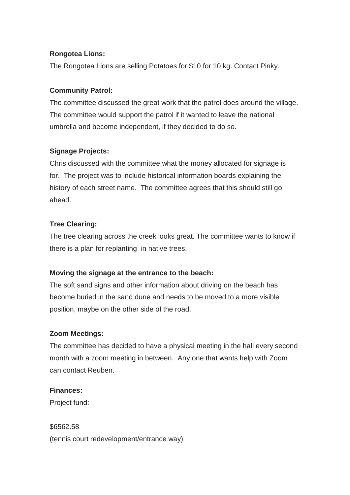## **Rongotea Lions:**

The Rongotea Lions are selling Potatoes for \$10 for 10 kg. Contact Pinky.

#### **Community Patrol:**

The committee discussed the great work that the patrol does around the village. The committee would support the patrol if it wanted to leave the national umbrella and become independent, if they decided to do so.

#### **Signage Projects:**

Chris discussed with the committee what the money allocated for signage is for. The project was to include historical information boards explaining the history of each street name. The committee agrees that this should still go ahead.

#### **Tree Clearing:**

The tree clearing across the creek looks great. The committee wants to know if there is a plan for replanting in native trees.

#### **Moving the signage at the entrance to the beach:**

The soft sand signs and other information about driving on the beach has become buried in the sand dune and needs to be moved to a more visible position, maybe on the other side of the road.

## **Zoom Meetings:**

The committee has decided to have a physical meeting in the hall every second month with a zoom meeting in between. Any one that wants help with Zoom can contact Reuben.

#### **Finances:**

Project fund:

\$6562.58 (tennis court redevelopment/entrance way)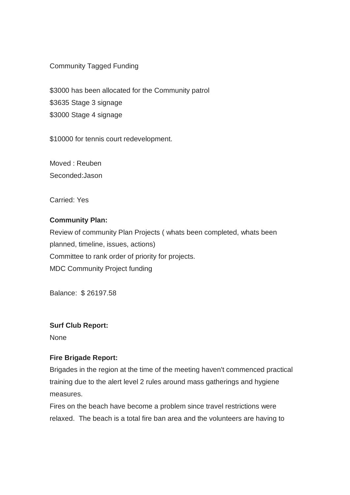Community Tagged Funding

\$3000 has been allocated for the Community patrol \$3635 Stage 3 signage \$3000 Stage 4 signage

\$10000 for tennis court redevelopment.

Moved : Reuben Seconded:Jason

Carried: Yes

#### **Community Plan:**

Review of community Plan Projects ( whats been completed, whats been planned, timeline, issues, actions) Committee to rank order of priority for projects. MDC Community Project funding

Balance: \$ 26197.58

#### **Surf Club Report:**

None

#### **Fire Brigade Report:**

Brigades in the region at the time of the meeting haven't commenced practical training due to the alert level 2 rules around mass gatherings and hygiene measures.

Fires on the beach have become a problem since travel restrictions were relaxed. The beach is a total fire ban area and the volunteers are having to